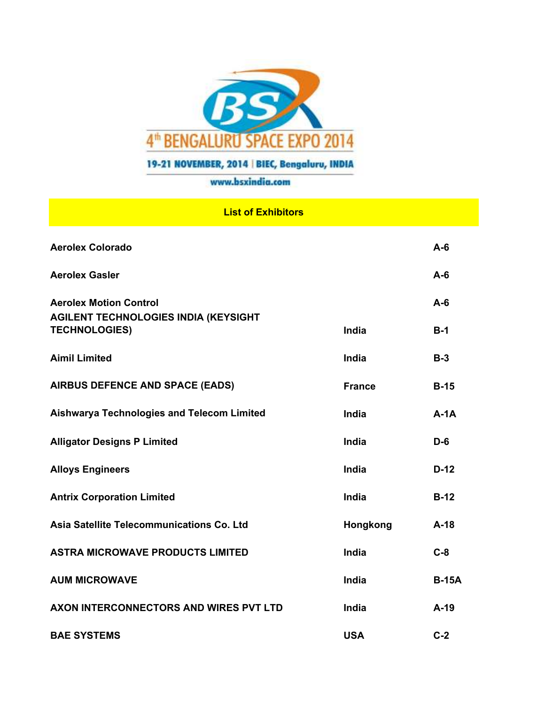

## 19-21 NOVEMBER, 2014 | BIEC, Bengaluru, INDIA

## www.bsxindia.com

## **List of Exhibitors**

| <b>Aerolex Colorado</b>                                             |               | $A - 6$      |
|---------------------------------------------------------------------|---------------|--------------|
| <b>Aerolex Gasler</b>                                               |               | $A-6$        |
| <b>Aerolex Motion Control</b>                                       |               | $A-6$        |
| <b>AGILENT TECHNOLOGIES INDIA (KEYSIGHT</b><br><b>TECHNOLOGIES)</b> | India         | $B-1$        |
| <b>Aimil Limited</b>                                                | India         | $B-3$        |
| <b>AIRBUS DEFENCE AND SPACE (EADS)</b>                              | <b>France</b> | $B-15$       |
| <b>Aishwarya Technologies and Telecom Limited</b>                   | India         | $A-1A$       |
| <b>Alligator Designs P Limited</b>                                  | India         | $D-6$        |
| <b>Alloys Engineers</b>                                             | India         | $D-12$       |
| <b>Antrix Corporation Limited</b>                                   | India         | $B-12$       |
| Asia Satellite Telecommunications Co. Ltd                           | Hongkong      | $A-18$       |
| <b>ASTRA MICROWAVE PRODUCTS LIMITED</b>                             | India         | $C-8$        |
| <b>AUM MICROWAVE</b>                                                | India         | <b>B-15A</b> |
| AXON INTERCONNECTORS AND WIRES PVT LTD                              | India         | $A-19$       |
| <b>BAE SYSTEMS</b>                                                  | <b>USA</b>    | $C-2$        |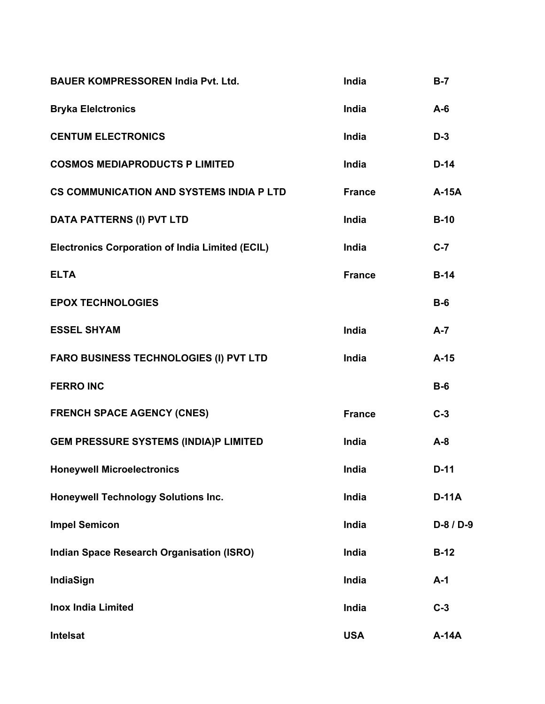| <b>BAUER KOMPRESSOREN India Pvt. Ltd.</b>              | India         | $B-7$        |
|--------------------------------------------------------|---------------|--------------|
| <b>Bryka Elelctronics</b>                              | India         | $A-6$        |
| <b>CENTUM ELECTRONICS</b>                              | India         | $D-3$        |
| <b>COSMOS MEDIAPRODUCTS P LIMITED</b>                  | India         | $D-14$       |
| <b>CS COMMUNICATION AND SYSTEMS INDIA P LTD</b>        | <b>France</b> | A-15A        |
| <b>DATA PATTERNS (I) PVT LTD</b>                       | India         | $B-10$       |
| <b>Electronics Corporation of India Limited (ECIL)</b> | India         | $C-7$        |
| <b>ELTA</b>                                            | <b>France</b> | $B-14$       |
| <b>EPOX TECHNOLOGIES</b>                               |               | $B-6$        |
| <b>ESSEL SHYAM</b>                                     | India         | $A - 7$      |
| FARO BUSINESS TECHNOLOGIES (I) PVT LTD                 | India         | $A-15$       |
| <b>FERRO INC</b>                                       |               | $B-6$        |
| <b>FRENCH SPACE AGENCY (CNES)</b>                      | <b>France</b> | $C-3$        |
| <b>GEM PRESSURE SYSTEMS (INDIA)P LIMITED</b>           | India         | $A-8$        |
| <b>Honeywell Microelectronics</b>                      | India         | $D-11$       |
| <b>Honeywell Technology Solutions Inc.</b>             | India         | $D-11A$      |
| <b>Impel Semicon</b>                                   | India         | D-8 / D-9    |
| <b>Indian Space Research Organisation (ISRO)</b>       | India         | $B-12$       |
| IndiaSign                                              | India         | $A-1$        |
| <b>Inox India Limited</b>                              | India         | $C-3$        |
| Intelsat                                               | <b>USA</b>    | <b>A-14A</b> |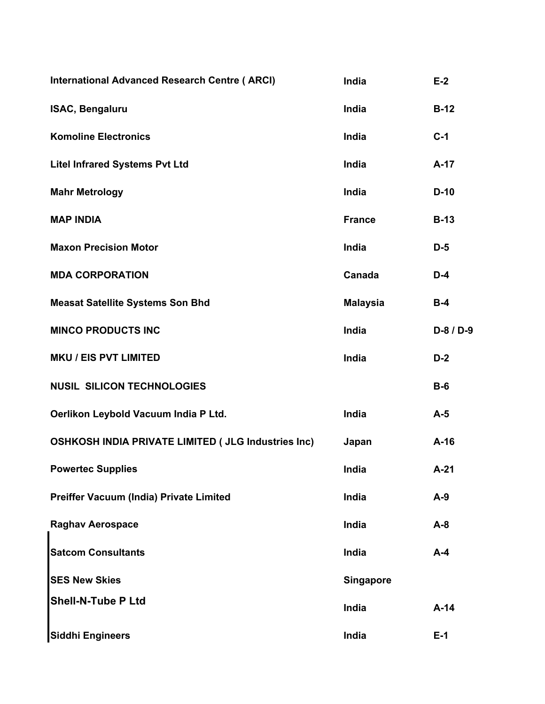| <b>International Advanced Research Centre (ARCI)</b>       | India            | $E-2$     |
|------------------------------------------------------------|------------------|-----------|
| <b>ISAC, Bengaluru</b>                                     | India            | $B-12$    |
| <b>Komoline Electronics</b>                                | India            | $C-1$     |
| <b>Litel Infrared Systems Pvt Ltd</b>                      | India            | $A-17$    |
| <b>Mahr Metrology</b>                                      | India            | $D-10$    |
| <b>MAP INDIA</b>                                           | <b>France</b>    | $B-13$    |
| <b>Maxon Precision Motor</b>                               | India            | $D-5$     |
| <b>MDA CORPORATION</b>                                     | Canada           | $D-4$     |
| <b>Measat Satellite Systems Son Bhd</b>                    | <b>Malaysia</b>  | $B-4$     |
| <b>MINCO PRODUCTS INC</b>                                  | India            | D-8 / D-9 |
| <b>MKU / EIS PVT LIMITED</b>                               | India            | $D-2$     |
| <b>NUSIL SILICON TECHNOLOGIES</b>                          |                  | $B-6$     |
| Oerlikon Leybold Vacuum India P Ltd.                       | India            | $A-5$     |
| <b>OSHKOSH INDIA PRIVATE LIMITED ( JLG Industries Inc)</b> | Japan            | $A-16$    |
| <b>Powertec Supplies</b>                                   | India            | $A-21$    |
| Preiffer Vacuum (India) Private Limited                    | India            | $A-9$     |
| <b>Raghav Aerospace</b>                                    | India            | $A-8$     |
| <b>Satcom Consultants</b>                                  | India            | $A-4$     |
| <b>SES New Skies</b>                                       | <b>Singapore</b> |           |
| <b>Shell-N-Tube P Ltd</b>                                  | India            | $A-14$    |
| <b>Siddhi Engineers</b>                                    | India            | $E-1$     |